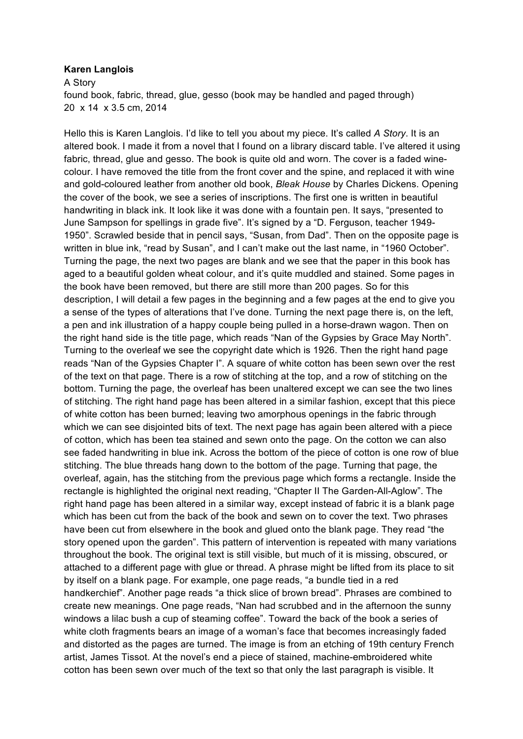## **Karen Langlois**

 20 x 14 x 3.5 cm, 2014 A Story found book, fabric, thread, glue, gesso (book may be handled and paged through)

 Hello this is Karen Langlois. I'd like to tell you about my piece. It's called *A Story*. It is an altered book. I made it from a novel that I found on a library discard table. I've altered it using colour. I have removed the title from the front cover and the spine, and replaced it with wine and gold-coloured leather from another old book, *Bleak House* by Charles Dickens. Opening handwriting in black ink. It look like it was done with a fountain pen. It says, "presented to June Sampson for spellings in grade five". It's signed by a "D. Ferguson, teacher 1949- 1950". Scrawled beside that in pencil says, "Susan, from Dad". Then on the opposite page is written in blue ink, "read by Susan", and I can't make out the last name, in "1960 October". Turning the page, the next two pages are blank and we see that the paper in this book has aged to a beautiful golden wheat colour, and it's quite muddled and stained. Some pages in description, I will detail a few pages in the beginning and a few pages at the end to give you a sense of the types of alterations that I've done. Turning the next page there is, on the left, a pen and ink illustration of a happy couple being pulled in a horse-drawn wagon. Then on Turning to the overleaf we see the copyright date which is 1926. Then the right hand page reads "Nan of the Gypsies Chapter I". A square of white cotton has been sewn over the rest of the text on that page. There is a row of stitching at the top, and a row of stitching on the bottom. Turning the page, the overleaf has been unaltered except we can see the two lines of stitching. The right hand page has been altered in a similar fashion, except that this piece of white cotton has been burned; leaving two amorphous openings in the fabric through which we can see disjointed bits of text. The next page has again been altered with a piece of cotton, which has been tea stained and sewn onto the page. On the cotton we can also see faded handwriting in blue ink. Across the bottom of the piece of cotton is one row of blue stitching. The blue threads hang down to the bottom of the page. Turning that page, the overleaf, again, has the stitching from the previous page which forms a rectangle. Inside the rectangle is highlighted the original next reading, "Chapter II The Garden-All-Aglow". The right hand page has been altered in a similar way, except instead of fabric it is a blank page which has been cut from the back of the book and sewn on to cover the text. Two phrases have been cut from elsewhere in the book and glued onto the blank page. They read "the story opened upon the garden". This pattern of intervention is repeated with many variations attached to a different page with glue or thread. A phrase might be lifted from its place to sit by itself on a blank page. For example, one page reads, "a bundle tied in a red handkerchief". Another page reads "a thick slice of brown bread". Phrases are combined to create new meanings. One page reads, "Nan had scrubbed and in the afternoon the sunny windows a lilac bush a cup of steaming coffee". Toward the back of the book a series of white cloth fragments bears an image of a woman's face that becomes increasingly faded artist, James Tissot. At the novel's end a piece of stained, machine-embroidered white cotton has been sewn over much of the text so that only the last paragraph is visible. It fabric, thread, glue and gesso. The book is quite old and worn. The cover is a faded winethe cover of the book, we see a series of inscriptions. The first one is written in beautiful the book have been removed, but there are still more than 200 pages. So for this the right hand side is the title page, which reads "Nan of the Gypsies by Grace May North". throughout the book. The original text is still visible, but much of it is missing, obscured, or and distorted as the pages are turned. The image is from an etching of 19th century French